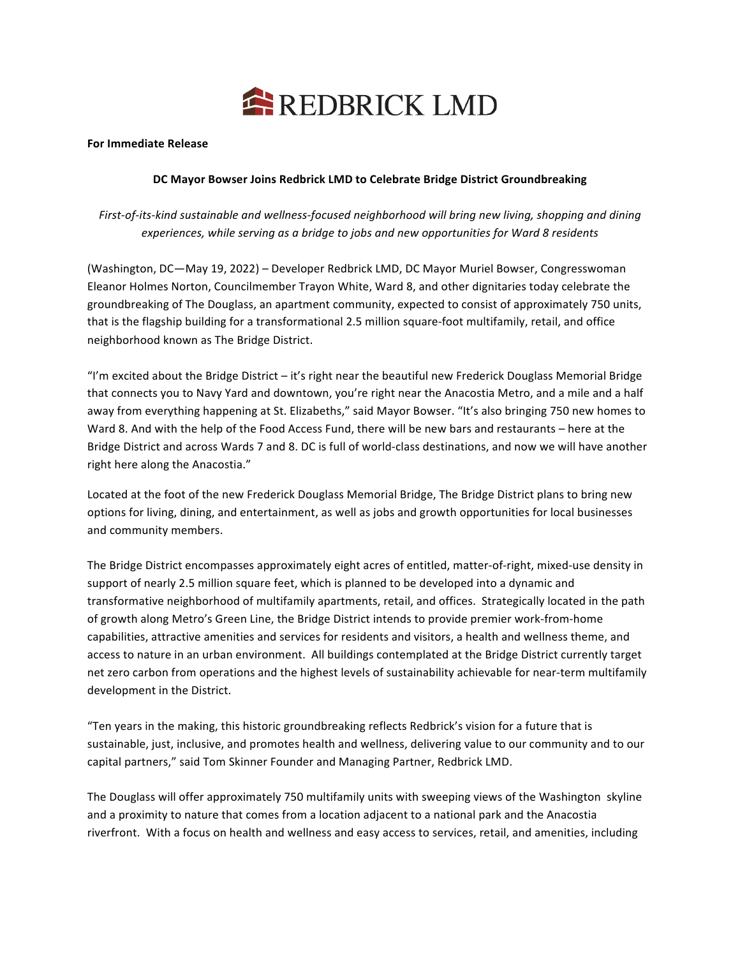

## **For Immediate Release**

## DC Mayor Bowser Joins Redbrick LMD to Celebrate Bridge District Groundbreaking

First-of-its-kind sustainable and wellness-focused neighborhood will bring new living, shopping and dining experiences, while serving as a bridge to jobs and new opportunities for Ward 8 residents

(Washington, DC-May 19, 2022) - Developer Redbrick LMD, DC Mayor Muriel Bowser, Congresswoman Eleanor Holmes Norton, Councilmember Trayon White, Ward 8, and other dignitaries today celebrate the groundbreaking of The Douglass, an apartment community, expected to consist of approximately 750 units, that is the flagship building for a transformational 2.5 million square-foot multifamily, retail, and office neighborhood known as The Bridge District.

"I'm excited about the Bridge District  $-$  it's right near the beautiful new Frederick Douglass Memorial Bridge that connects you to Navy Yard and downtown, you're right near the Anacostia Metro, and a mile and a half away from everything happening at St. Elizabeths," said Mayor Bowser. "It's also bringing 750 new homes to Ward 8. And with the help of the Food Access Fund, there will be new bars and restaurants – here at the Bridge District and across Wards 7 and 8. DC is full of world-class destinations, and now we will have another right here along the Anacostia."

Located at the foot of the new Frederick Douglass Memorial Bridge, The Bridge District plans to bring new options for living, dining, and entertainment, as well as jobs and growth opportunities for local businesses and community members.

The Bridge District encompasses approximately eight acres of entitled, matter-of-right, mixed-use density in support of nearly 2.5 million square feet, which is planned to be developed into a dynamic and transformative neighborhood of multifamily apartments, retail, and offices. Strategically located in the path of growth along Metro's Green Line, the Bridge District intends to provide premier work-from-home capabilities, attractive amenities and services for residents and visitors, a health and wellness theme, and access to nature in an urban environment. All buildings contemplated at the Bridge District currently target net zero carbon from operations and the highest levels of sustainability achievable for near-term multifamily development in the District.

"Ten years in the making, this historic groundbreaking reflects Redbrick's vision for a future that is sustainable, just, inclusive, and promotes health and wellness, delivering value to our community and to our capital partners," said Tom Skinner Founder and Managing Partner, Redbrick LMD.

The Douglass will offer approximately 750 multifamily units with sweeping views of the Washington skyline and a proximity to nature that comes from a location adjacent to a national park and the Anacostia riverfront. With a focus on health and wellness and easy access to services, retail, and amenities, including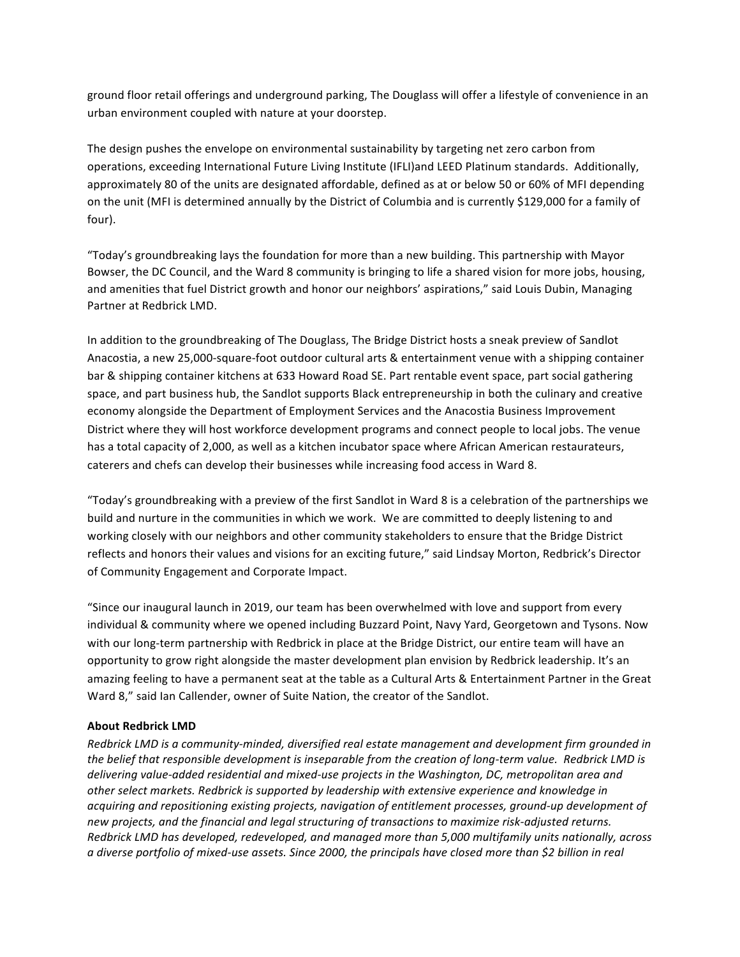ground floor retail offerings and underground parking, The Douglass will offer a lifestyle of convenience in an urban environment coupled with nature at your doorstep.

The design pushes the envelope on environmental sustainability by targeting net zero carbon from operations, exceeding International Future Living Institute (IFLI)and LEED Platinum standards. Additionally, approximately 80 of the units are designated affordable, defined as at or below 50 or 60% of MFI depending on the unit (MFI is determined annually by the District of Columbia and is currently \$129,000 for a family of four). 

"Today's groundbreaking lays the foundation for more than a new building. This partnership with Mayor Bowser, the DC Council, and the Ward 8 community is bringing to life a shared vision for more jobs, housing, and amenities that fuel District growth and honor our neighbors' aspirations," said Louis Dubin, Managing Partner at Redbrick LMD.

In addition to the groundbreaking of The Douglass, The Bridge District hosts a sneak preview of Sandlot Anacostia, a new 25,000-square-foot outdoor cultural arts & entertainment venue with a shipping container bar & shipping container kitchens at 633 Howard Road SE. Part rentable event space, part social gathering space, and part business hub, the Sandlot supports Black entrepreneurship in both the culinary and creative economy alongside the Department of Employment Services and the Anacostia Business Improvement District where they will host workforce development programs and connect people to local jobs. The venue has a total capacity of 2,000, as well as a kitchen incubator space where African American restaurateurs, caterers and chefs can develop their businesses while increasing food access in Ward 8.

"Today's groundbreaking with a preview of the first Sandlot in Ward 8 is a celebration of the partnerships we build and nurture in the communities in which we work. We are committed to deeply listening to and working closely with our neighbors and other community stakeholders to ensure that the Bridge District reflects and honors their values and visions for an exciting future," said Lindsay Morton, Redbrick's Director of Community Engagement and Corporate Impact.

"Since our inaugural launch in 2019, our team has been overwhelmed with love and support from every individual & community where we opened including Buzzard Point, Navy Yard, Georgetown and Tysons. Now with our long-term partnership with Redbrick in place at the Bridge District, our entire team will have an opportunity to grow right alongside the master development plan envision by Redbrick leadership. It's an amazing feeling to have a permanent seat at the table as a Cultural Arts & Entertainment Partner in the Great Ward 8," said Ian Callender, owner of Suite Nation, the creator of the Sandlot.

## **About Redbrick LMD**

*Redbrick LMD is a community-minded, diversified real estate management and development firm grounded in the belief that responsible development is inseparable from the creation of long-term value. Redbrick LMD is* delivering value-added residential and mixed-use projects in the Washington, DC, metropolitan area and other select markets. Redbrick is supported by leadership with extensive experience and knowledge in *acquiring and repositioning existing projects, navigation of entitlement processes, ground-up development of* new projects, and the financial and legal structuring of transactions to maximize risk-adjusted returns. *Redbrick LMD has developed, redeveloped, and managed more than 5,000 multifamily units nationally, across a* diverse portfolio of mixed-use assets. Since 2000, the principals have closed more than \$2 billion in real